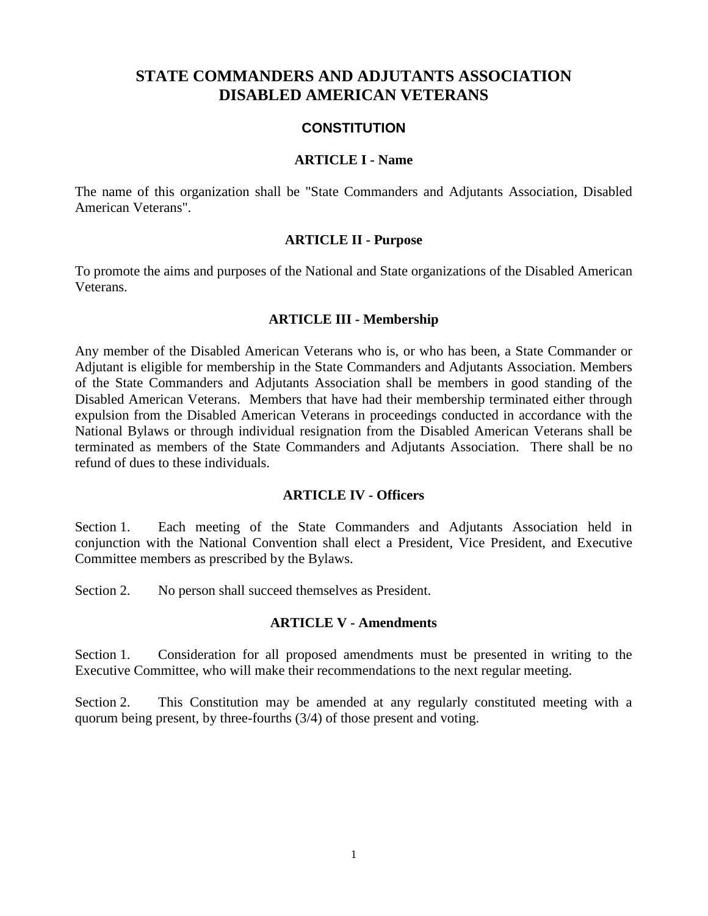# **STATE COMMANDERS AND ADJUTANTS ASSOCIATION DISABLED AMERICAN VETERANS**

### **CONSTITUTION**

#### **ARTICLE I - Name**

The name of this organization shall be "State Commanders and Adjutants Association, Disabled American Veterans".

#### **ARTICLE II - Purpose**

To promote the aims and purposes of the National and State organizations of the Disabled American Veterans.

#### **ARTICLE III - Membership**

Any member of the Disabled American Veterans who is, or who has been, a State Commander or Adjutant is eligible for membership in the State Commanders and Adjutants Association. Members of the State Commanders and Adjutants Association shall be members in good standing of the Disabled American Veterans. Members that have had their membership terminated either through expulsion from the Disabled American Veterans in proceedings conducted in accordance with the National Bylaws or through individual resignation from the Disabled American Veterans shall be terminated as members of the State Commanders and Adjutants Association. There shall be no refund of dues to these individuals.

#### **ARTICLE IV - Officers**

Section 1. Each meeting of the State Commanders and Adjutants Association held in conjunction with the National Convention shall elect a President, Vice President, and Executive Committee members as prescribed by the Bylaws.

Section 2. No person shall succeed themselves as President.

#### **ARTICLE V - Amendments**

Section 1. Consideration for all proposed amendments must be presented in writing to the Executive Committee, who will make their recommendations to the next regular meeting.

Section 2. This Constitution may be amended at any regularly constituted meeting with a quorum being present, by three-fourths (3/4) of those present and voting.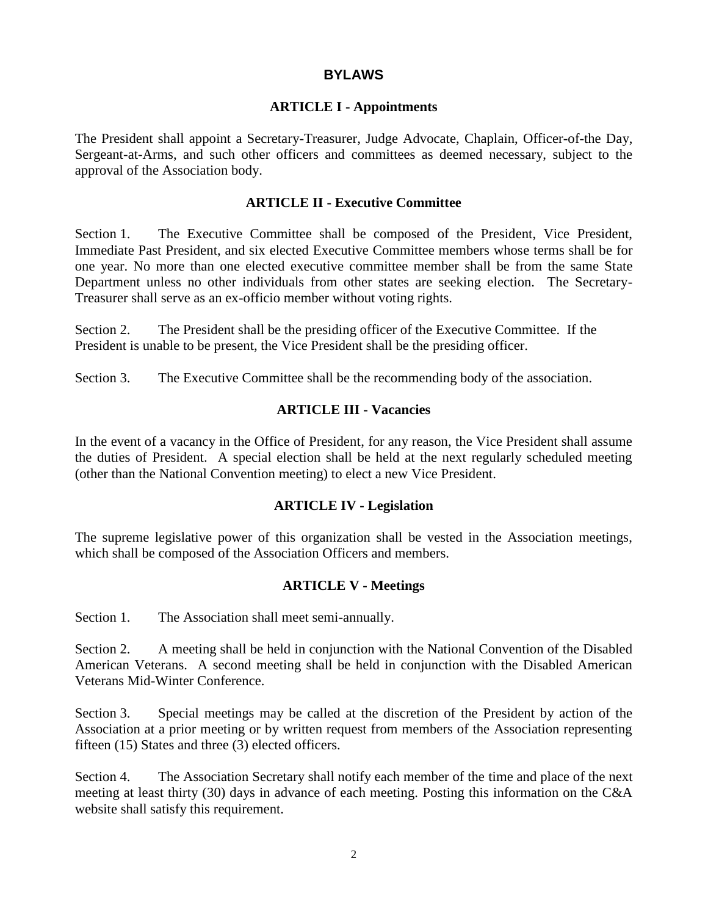## **BYLAWS**

## **ARTICLE I - Appointments**

The President shall appoint a Secretary-Treasurer, Judge Advocate, Chaplain, Officer-of-the Day, Sergeant-at-Arms, and such other officers and committees as deemed necessary, subject to the approval of the Association body.

# **ARTICLE II - Executive Committee**

Section 1. The Executive Committee shall be composed of the President, Vice President, Immediate Past President, and six elected Executive Committee members whose terms shall be for one year. No more than one elected executive committee member shall be from the same State Department unless no other individuals from other states are seeking election. The Secretary-Treasurer shall serve as an ex-officio member without voting rights.

Section 2. The President shall be the presiding officer of the Executive Committee. If the President is unable to be present, the Vice President shall be the presiding officer.

Section 3. The Executive Committee shall be the recommending body of the association.

## **ARTICLE III - Vacancies**

In the event of a vacancy in the Office of President, for any reason, the Vice President shall assume the duties of President. A special election shall be held at the next regularly scheduled meeting (other than the National Convention meeting) to elect a new Vice President.

# **ARTICLE IV - Legislation**

The supreme legislative power of this organization shall be vested in the Association meetings, which shall be composed of the Association Officers and members.

# **ARTICLE V - Meetings**

Section 1. The Association shall meet semi-annually.

Section 2. A meeting shall be held in conjunction with the National Convention of the Disabled American Veterans. A second meeting shall be held in conjunction with the Disabled American Veterans Mid-Winter Conference.

Section 3. Special meetings may be called at the discretion of the President by action of the Association at a prior meeting or by written request from members of the Association representing fifteen (15) States and three (3) elected officers.

Section 4. The Association Secretary shall notify each member of the time and place of the next meeting at least thirty (30) days in advance of each meeting. Posting this information on the C&A website shall satisfy this requirement.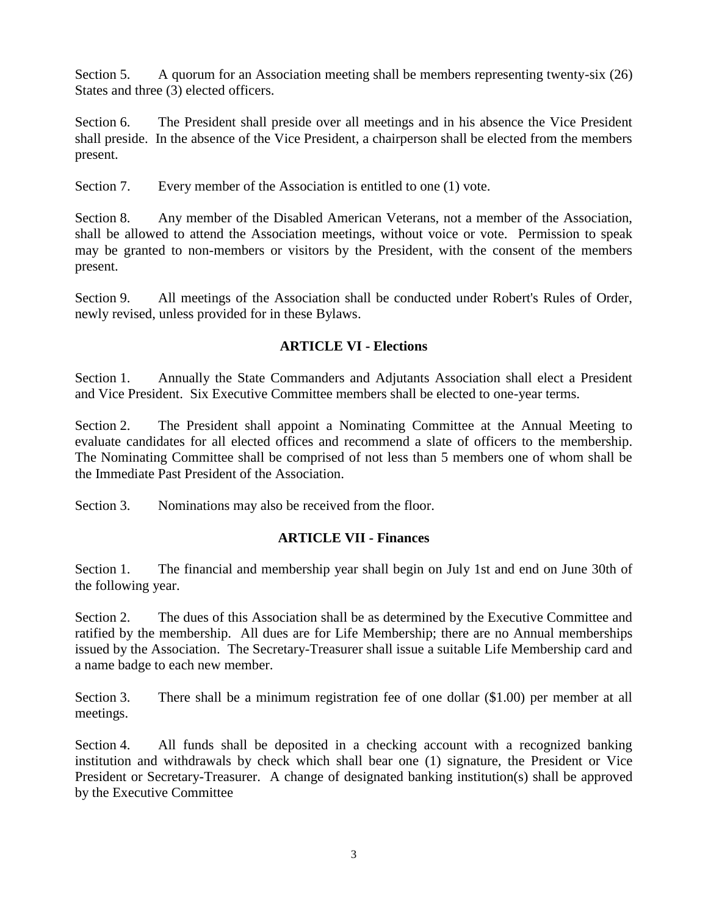Section 5. A quorum for an Association meeting shall be members representing twenty-six (26) States and three (3) elected officers.

Section 6. The President shall preside over all meetings and in his absence the Vice President shall preside. In the absence of the Vice President, a chairperson shall be elected from the members present.

Section 7. Every member of the Association is entitled to one (1) vote.

Section 8. Any member of the Disabled American Veterans, not a member of the Association, shall be allowed to attend the Association meetings, without voice or vote. Permission to speak may be granted to non-members or visitors by the President, with the consent of the members present.

Section 9. All meetings of the Association shall be conducted under Robert's Rules of Order, newly revised, unless provided for in these Bylaws.

# **ARTICLE VI - Elections**

Section 1. Annually the State Commanders and Adjutants Association shall elect a President and Vice President. Six Executive Committee members shall be elected to one-year terms.

Section 2. The President shall appoint a Nominating Committee at the Annual Meeting to evaluate candidates for all elected offices and recommend a slate of officers to the membership. The Nominating Committee shall be comprised of not less than 5 members one of whom shall be the Immediate Past President of the Association.

Section 3. Nominations may also be received from the floor.

# **ARTICLE VII - Finances**

Section 1. The financial and membership year shall begin on July 1st and end on June 30th of the following year.

Section 2. The dues of this Association shall be as determined by the Executive Committee and ratified by the membership. All dues are for Life Membership; there are no Annual memberships issued by the Association. The Secretary-Treasurer shall issue a suitable Life Membership card and a name badge to each new member.

Section 3. There shall be a minimum registration fee of one dollar (\$1.00) per member at all meetings.

Section 4. All funds shall be deposited in a checking account with a recognized banking institution and withdrawals by check which shall bear one (1) signature, the President or Vice President or Secretary-Treasurer. A change of designated banking institution(s) shall be approved by the Executive Committee